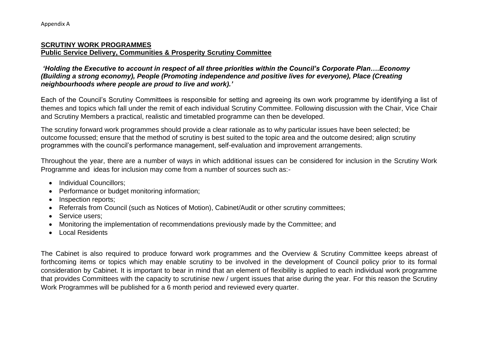## **SCRUTINY WORK PROGRAMMES Public Service Delivery, Communities & Prosperity Scrutiny Committee**

*'Holding the Executive to account in respect of all three priorities within the Council's Corporate Plan….Economy (Building a strong economy), People (Promoting independence and positive lives for everyone), Place (Creating neighbourhoods where people are proud to live and work).'*

Each of the Council's Scrutiny Committees is responsible for setting and agreeing its own work programme by identifying a list of themes and topics which fall under the remit of each individual Scrutiny Committee. Following discussion with the Chair, Vice Chair and Scrutiny Members a practical, realistic and timetabled programme can then be developed.

The scrutiny forward work programmes should provide a clear rationale as to why particular issues have been selected; be outcome focussed; ensure that the method of scrutiny is best suited to the topic area and the outcome desired; align scrutiny programmes with the council's performance management, self-evaluation and improvement arrangements.

Throughout the year, there are a number of ways in which additional issues can be considered for inclusion in the Scrutiny Work Programme and ideas for inclusion may come from a number of sources such as:-

- Individual Councillors:
- Performance or budget monitoring information;
- Inspection reports:
- Referrals from Council (such as Notices of Motion), Cabinet/Audit or other scrutiny committees;
- Service users;
- Monitoring the implementation of recommendations previously made by the Committee; and
- Local Residents

The Cabinet is also required to produce forward work programmes and the Overview & Scrutiny Committee keeps abreast of forthcoming items or topics which may enable scrutiny to be involved in the development of Council policy prior to its formal consideration by Cabinet. It is important to bear in mind that an element of flexibility is applied to each individual work programme that provides Committees with the capacity to scrutinise new / urgent issues that arise during the year. For this reason the Scrutiny Work Programmes will be published for a 6 month period and reviewed every quarter.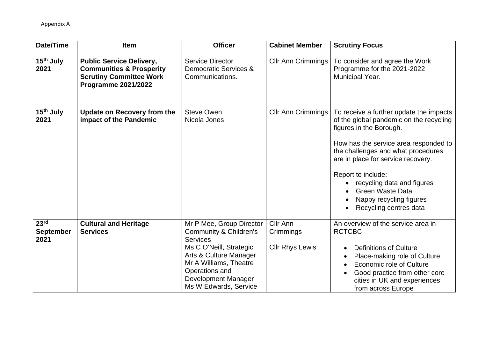| Date/Time                                    | <b>Item</b>                                                                                                                            | <b>Officer</b>                                                                                                                                                                                                         | <b>Cabinet Member</b>                           | <b>Scrutiny Focus</b>                                                                                                                                                                                                                                                                                                                                                  |
|----------------------------------------------|----------------------------------------------------------------------------------------------------------------------------------------|------------------------------------------------------------------------------------------------------------------------------------------------------------------------------------------------------------------------|-------------------------------------------------|------------------------------------------------------------------------------------------------------------------------------------------------------------------------------------------------------------------------------------------------------------------------------------------------------------------------------------------------------------------------|
| 15 <sup>th</sup> July<br>2021                | <b>Public Service Delivery,</b><br><b>Communities &amp; Prosperity</b><br><b>Scrutiny Committee Work</b><br><b>Programme 2021/2022</b> | <b>Service Director</b><br>Democratic Services &<br>Communications.                                                                                                                                                    | <b>Cllr Ann Crimmings</b>                       | To consider and agree the Work<br>Programme for the 2021-2022<br>Municipal Year.                                                                                                                                                                                                                                                                                       |
| 15 <sup>th</sup> July<br>2021                | <b>Update on Recovery from the</b><br>impact of the Pandemic                                                                           | <b>Steve Owen</b><br>Nicola Jones                                                                                                                                                                                      | <b>Cllr Ann Crimmings</b>                       | To receive a further update the impacts<br>of the global pandemic on the recycling<br>figures in the Borough.<br>How has the service area responded to<br>the challenges and what procedures<br>are in place for service recovery.<br>Report to include:<br>recycling data and figures<br><b>Green Waste Data</b><br>Nappy recycling figures<br>Recycling centres data |
| 23 <sup>rd</sup><br><b>September</b><br>2021 | <b>Cultural and Heritage</b><br><b>Services</b>                                                                                        | Mr P Mee, Group Director<br>Community & Children's<br><b>Services</b><br>Ms C O'Neill, Strategic<br>Arts & Culture Manager<br>Mr A Williams, Theatre<br>Operations and<br>Development Manager<br>Ms W Edwards, Service | Cllr Ann<br>Crimmings<br><b>Cllr Rhys Lewis</b> | An overview of the service area in<br><b>RCTCBC</b><br><b>Definitions of Culture</b><br>Place-making role of Culture<br><b>Economic role of Culture</b><br>$\bullet$<br>Good practice from other core<br>cities in UK and experiences<br>from across Europe                                                                                                            |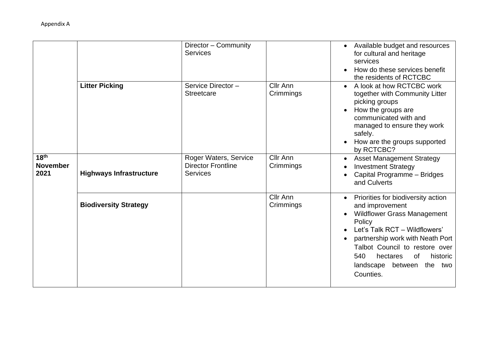|                                             |                                | Director - Community<br><b>Services</b>                               |                       | Available budget and resources<br>for cultural and heritage<br>services<br>How do these services benefit<br>the residents of RCTCBC                                                                                                                                                                |
|---------------------------------------------|--------------------------------|-----------------------------------------------------------------------|-----------------------|----------------------------------------------------------------------------------------------------------------------------------------------------------------------------------------------------------------------------------------------------------------------------------------------------|
|                                             | <b>Litter Picking</b>          | Service Director-<br><b>Streetcare</b>                                | Cllr Ann<br>Crimmings | A look at how RCTCBC work<br>together with Community Litter<br>picking groups<br>How the groups are<br>communicated with and<br>managed to ensure they work<br>safely.<br>How are the groups supported<br>by RCTCBC?                                                                               |
| 18 <sup>th</sup><br><b>November</b><br>2021 | <b>Highways Infrastructure</b> | Roger Waters, Service<br><b>Director Frontline</b><br><b>Services</b> | Cllr Ann<br>Crimmings | <b>Asset Management Strategy</b><br><b>Investment Strategy</b><br>Capital Programme - Bridges<br>and Culverts                                                                                                                                                                                      |
|                                             | <b>Biodiversity Strategy</b>   |                                                                       | Cllr Ann<br>Crimmings | Priorities for biodiversity action<br>and improvement<br><b>Wildflower Grass Management</b><br>Policy<br>Let's Talk RCT - Wildflowers'<br>partnership work with Neath Port<br>Talbot Council to restore over<br>540<br>hectares<br><b>of</b><br>historic<br>landscape between the two<br>Counties. |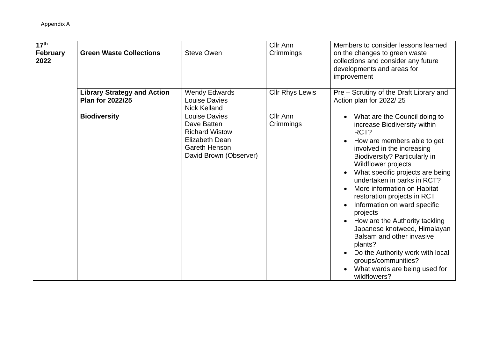| 17 <sup>th</sup><br><b>February</b><br>2022 | <b>Green Waste Collections</b>                                | <b>Steve Owen</b>                                                                                                                       | Cllr Ann<br>Crimmings        | Members to consider lessons learned<br>on the changes to green waste<br>collections and consider any future<br>developments and areas for<br>improvement                                                                                                                                                                                                                                                                                                                                                                                                                                             |
|---------------------------------------------|---------------------------------------------------------------|-----------------------------------------------------------------------------------------------------------------------------------------|------------------------------|------------------------------------------------------------------------------------------------------------------------------------------------------------------------------------------------------------------------------------------------------------------------------------------------------------------------------------------------------------------------------------------------------------------------------------------------------------------------------------------------------------------------------------------------------------------------------------------------------|
|                                             | <b>Library Strategy and Action</b><br><b>Plan for 2022/25</b> | <b>Wendy Edwards</b><br><b>Louise Davies</b><br><b>Nick Kelland</b>                                                                     | <b>Cllr Rhys Lewis</b>       | Pre – Scrutiny of the Draft Library and<br>Action plan for 2022/25                                                                                                                                                                                                                                                                                                                                                                                                                                                                                                                                   |
|                                             | <b>Biodiversity</b>                                           | <b>Louise Davies</b><br>Dave Batten<br><b>Richard Wistow</b><br><b>Elizabeth Dean</b><br><b>Gareth Henson</b><br>David Brown (Observer) | <b>Cllr Ann</b><br>Crimmings | What are the Council doing to<br>increase Biodiversity within<br>RCT?<br>How are members able to get<br>involved in the increasing<br>Biodiversity? Particularly in<br><b>Wildflower projects</b><br>What specific projects are being<br>undertaken in parks in RCT?<br>More information on Habitat<br>restoration projects in RCT<br>Information on ward specific<br>projects<br>How are the Authority tackling<br>Japanese knotweed, Himalayan<br>Balsam and other invasive<br>plants?<br>Do the Authority work with local<br>groups/communities?<br>What wards are being used for<br>wildflowers? |